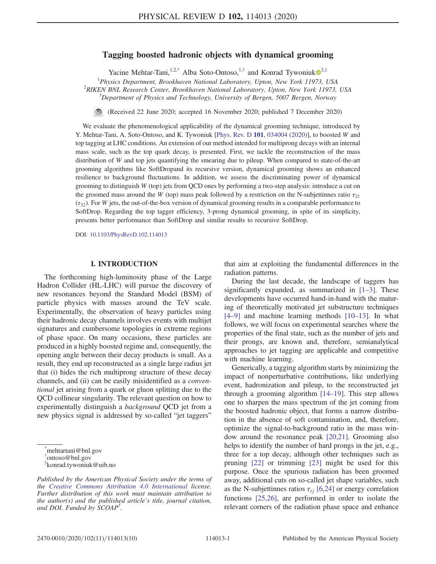# Tagging boosted hadronic objects with dynamical grooming

Yacine Mehtar-Tani,<sup>1,[2,\\*](#page-0-0)</sup> Alba Soto-Ontoso,<sup>1,[†](#page-0-1)</sup> and Konrad Tywoniuk  $\mathbf{D}^{3,\ddagger}$  $\mathbf{D}^{3,\ddagger}$  $\mathbf{D}^{3,\ddagger}$ 

<span id="page-0-3"></span><sup>1</sup>Physics Department, Brookhaven National Laboratory, Upton, New York 11973, USA<br><sup>2</sup>PHEN PNJ Bessameh Center, Brookhaven Mational Laboratory, Unton, New York 11972  $R$ IKEN BNL Research Center, Brookhaven National Laboratory, Upton, New York 11973, USA

 $3$ Department of Physics and Technology, University of Bergen, 5007 Bergen, Norway

 $\bigcirc$ (Received 22 June 2020; accepted 16 November 2020; published 7 December 2020)

We evaluate the phenomenological applicability of the dynamical grooming technique, introduced by Y. Mehtar-Tani, A. Soto-Ontoso, and K. Tywoniuk [Phys. Rev. D 101[, 034004 \(2020\)\]](https://doi.org/10.1103/PhysRevD.101.034004), to boosted W and top tagging at LHC conditions. An extension of our method intended for multiprong decays with an internal mass scale, such as the top quark decay, is presented. First, we tackle the reconstruction of the mass distribution of W and top jets quantifying the smearing due to pileup. When compared to state-of-the-art grooming algorithms like SoftDropand its recursive version, dynamical grooming shows an enhanced resilience to background fluctuations. In addition, we assess the discriminating power of dynamical grooming to distinguish  $W$  (top) jets from OCD ones by performing a two-step analysis: introduce a cut on the groomed mass around the W (top) mass peak followed by a restriction on the N-subjettinnes ratio  $\tau_{21}$  $(\tau_{32})$ . For W jets, the out-of-the-box version of dynamical grooming results in a comparable performance to SoftDrop. Regarding the top tagger efficiency, 3-prong dynamical grooming, in spite of its simplicity, presents better performance than SoftDrop and similar results to recursive SoftDrop.

DOI: [10.1103/PhysRevD.102.114013](https://doi.org/10.1103/PhysRevD.102.114013)

# I. INTRODUCTION

<span id="page-0-4"></span>The forthcoming high-luminosity phase of the Large Hadron Collider (HL-LHC) will pursue the discovery of new resonances beyond the Standard Model (BSM) of particle physics with masses around the TeV scale. Experimentally, the observation of heavy particles using their hadronic decay channels involves events with multijet signatures and cumbersome topologies in extreme regions of phase space. On many occasions, these particles are produced in a highly boosted regime and, consequently, the opening angle between their decay products is small. As a result, they end up reconstructed as a single large radius jet that (i) hides the rich multiprong structure of these decay channels, and (ii) can be easily misidentified as a conventional jet arising from a quark or gluon splitting due to the QCD collinear singularity. The relevant question on how to experimentally distinguish a background QCD jet from a new physics signal is addressed by so-called "jet taggers"

<span id="page-0-0"></span>[\\*](#page-0-3) mehtartani@bnl.gov

<span id="page-0-1"></span>[†](#page-0-3) ontoso@bnl.gov

that aim at exploiting the fundamental differences in the radiation patterns.

During the last decade, the landscape of taggers has significantly expanded, as summarized in [1–[3\]](#page-8-0). These developments have occurred hand-in-hand with the maturing of theoretically motivated jet substructure techniques [\[4](#page-8-1)–9] and machine learning methods [10–[13\].](#page-8-2) In what follows, we will focus on experimental searches where the properties of the final state, such as the number of jets and their prongs, are known and, therefore, semianalytical approaches to jet tagging are applicable and competitive with machine learning.

Generically, a tagging algorithm starts by minimizing the impact of nonperturbative contributions, like underlying event, hadronization and pileup, to the reconstructed jet through a grooming algorithm [14–[19\].](#page-8-3) This step allows one to sharpen the mass spectrum of the jet coming from the boosted hadronic object, that forms a narrow distribution in the absence of soft contamination, and, therefore, optimize the signal-to-background ratio in the mass window around the resonance peak [\[20,21\].](#page-8-4) Grooming also helps to identify the number of hard prongs in the jet, e.g., three for a top decay, although other techniques such as pruning [\[22\]](#page-8-5) or trimming [\[23\]](#page-8-6) might be used for this purpose. Once the spurious radiation has been groomed away, additional cuts on so-called jet shape variables, such as the N-subjettinnes ratios  $\tau_{ij}$  [\[6,24\]](#page-8-7) or energy correlation functions [\[25,26\]](#page-8-8), are performed in order to isolate the relevant corners of the radiation phase space and enhance

<span id="page-0-2"></span>[<sup>‡</sup>](#page-0-3) konrad.tywoniuk@uib.no

Published by the American Physical Society under the terms of the [Creative Commons Attribution 4.0 International](https://creativecommons.org/licenses/by/4.0/) license. Further distribution of this work must maintain attribution to the author(s) and the published article's title, journal citation, and DOI. Funded by SCOAP<sup>3</sup>.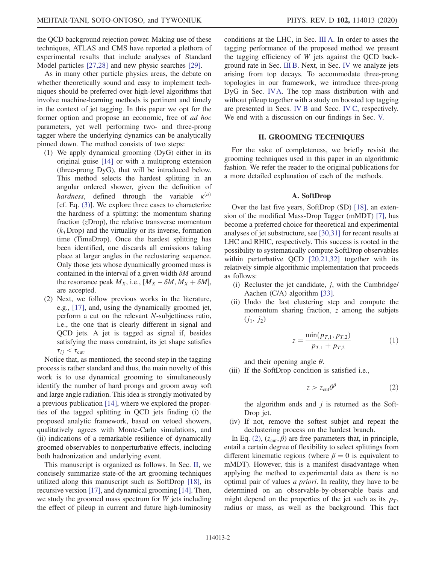the QCD background rejection power. Making use of these techniques, ATLAS and CMS have reported a plethora of experimental results that include analyses of Standard Model particles [\[27,28\]](#page-8-9) and new physic searches [\[29\].](#page-8-10)

As in many other particle physics areas, the debate on whether theoretically sound and easy to implement techniques should be preferred over high-level algorithms that involve machine-learning methods is pertinent and timely in the context of jet tagging. In this paper we opt for the former option and propose an economic, free of ad hoc parameters, yet well performing two- and three-prong tagger where the underlying dynamics can be analytically pinned down. The method consists of two steps:

- (1) We apply dynamical grooming (DyG) either in its original guise [\[14\]](#page-8-3) or with a multiprong extension (three-prong DyG), that will be introduced below. This method selects the hardest splitting in an angular ordered shower, given the definition of hardness, defined through the variable  $\kappa^{(a)}$ [cf. Eq.  $(3)$ ]. We explore three cases to characterize the hardness of a splitting: the momentum sharing fraction  $(zDrop)$ , the relative transverse momentum  $(k<sub>T</sub>Drop)$  and the virtuality or its inverse, formation time (TimeDrop). Once the hardest splitting has been identified, one discards all emissions taking place at larger angles in the reclustering sequence. Only those jets whose dynamically groomed mass is contained in the interval of a given width  $\delta M$  around the resonance peak  $M_X$ , i.e.,  $[M_X - \delta M, M_X + \delta M],$ are accepted.
- (2) Next, we follow previous works in the literature, e.g., [\[17\],](#page-8-11) and, using the dynamically groomed jet, perform a cut on the relevant N-subjettiness ratio, i.e., the one that is clearly different in signal and QCD jets. A jet is tagged as signal if, besides satisfying the mass constraint, its jet shape satisfies  $\tau_{ii} < \tau_{\text{cut}}$ .

Notice that, as mentioned, the second step in the tagging process is rather standard and thus, the main novelty of this work is to use dynamical grooming to simultaneously identify the number of hard prongs and groom away soft and large angle radiation. This idea is strongly motivated by a previous publication [\[14\]](#page-8-3), where we explored the properties of the tagged splitting in QCD jets finding (i) the proposed analytic framework, based on vetoed showers, qualitatively agrees with Monte-Carlo simulations, and (ii) indications of a remarkable resilience of dynamically groomed observables to nonperturbative effects, including both hadronization and underlying event.

This manuscript is organized as follows. In Sec. [II,](#page-1-0) we concisely summarize state-of-the art grooming techniques utilized along this manuscript such as SoftDrop [\[18\]](#page-8-12), its recursive version [\[17\]](#page-8-11), and dynamical grooming [\[14\]](#page-8-3). Then, we study the groomed mass spectrum for W jets including the effect of pileup in current and future high-luminosity conditions at the LHC, in Sec. [III A.](#page-2-1) In order to asses the tagging performance of the proposed method we present the tagging efficiency of W jets against the QCD background rate in Sec. [III B.](#page-4-0) Next, in Sec. [IV](#page-5-0) we analyze jets arising from top decays. To accommodate three-prong topologies in our framework, we introduce three-prong DyG in Sec. [IVA](#page-5-1). The top mass distribution with and without pileup together with a study on boosted top tagging are presented in Secs. [IV B](#page-5-2) and Secc. [IV C,](#page-6-0) respectively. We end with a discussion on our findings in Sec. [V.](#page-7-0)

# II. GROOMING TECHNIQUES

<span id="page-1-0"></span>For the sake of completeness, we briefly revisit the grooming techniques used in this paper in an algorithmic fashion. We refer the reader to the original publications for a more detailed explanation of each of the methods.

# A. SoftDrop

Over the last five years, SoftDrop (SD) [\[18\],](#page-8-12) an extension of the modified Mass-Drop Tagger (mMDT) [\[7\]](#page-8-13), has become a preferred choice for theoretical and experimental analyses of jet substructure, see [\[30,31\]](#page-8-14) for recent results at LHC and RHIC, respectively. This success is rooted in the possibility to systematically compute SoftDrop observables within perturbative QCD [\[20,21,32\]](#page-8-4) together with its relatively simple algorithmic implementation that proceeds as follows:

- (i) Recluster the jet candidate,  $j$ , with the Cambridge/ Aachen (C/A) algorithm [\[33\].](#page-9-0)
- (ii) Undo the last clustering step and compute the momentum sharing fraction,  $z$  among the subjets  $(j_1, j_2)$

$$
z = \frac{\min(p_{T,1}, p_{T,2})}{p_{T,1} + p_{T,2}}\tag{1}
$$

and their opening angle  $\theta$ .

<span id="page-1-1"></span>(iii) If the SoftDrop condition is satisfied i.e.,

$$
z > z_{\rm cut} \theta^{\beta} \tag{2}
$$

the algorithm ends and  $j$  is returned as the Soft-Drop jet.

(iv) If not, remove the softest subjet and repeat the declustering process on the hardest branch.

In Eq. [\(2\)](#page-1-1),  $(z<sub>cut</sub>, \beta)$  are free parameters that, in principle, entail a certain degree of flexibility to select splittings from different kinematic regions (where  $\beta = 0$  is equivalent to mMDT). However, this is a manifest disadvantage when applying the method to experimental data as there is no optimal pair of values a priori. In reality, they have to be determined on an observable-by-observable basis and might depend on the properties of the jet such as its  $p<sub>T</sub>$ , radius or mass, as well as the background. This fact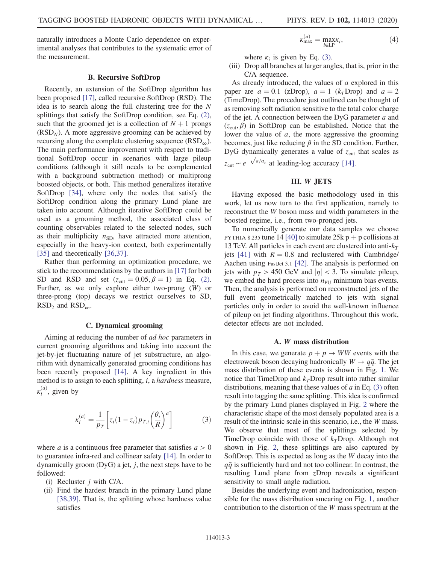naturally introduces a Monte Carlo dependence on experimental analyses that contributes to the systematic error of the measurement.

# B. Recursive SoftDrop

Recently, an extension of the SoftDrop algorithm has been proposed [\[17\]](#page-8-11), called recursive SoftDrop (RSD). The idea is to search along the full clustering tree for the N splittings that satisfy the SoftDrop condition, see Eq. [\(2\)](#page-1-1), such that the groomed jet is a collection of  $N + 1$  prongs  $(RSD<sub>N</sub>)$ . A more aggressive grooming can be achieved by recursing along the complete clustering sequence  $(RSD<sub>∞</sub>)$ . The main performance improvement with respect to traditional SoftDrop occur in scenarios with large pileup conditions (although it still needs to be complemented with a background subtraction method) or multiprong boosted objects, or both. This method generalizes iterative SoftDrop [\[34\]](#page-9-1), where only the nodes that satisfy the SoftDrop condition along the primary Lund plane are taken into account. Although iterative SoftDrop could be used as a grooming method, the associated class of counting observables related to the selected nodes, such as their multiplicity  $n_{SD}$ , have attracted more attention, especially in the heavy-ion context, both experimentally [\[35\]](#page-9-2) and theoretically [\[36,37\]](#page-9-3).

Rather than performing an optimization procedure, we stick to the recommendations by the authors in [\[17\]](#page-8-11) for both SD and RSD and set  $(z_{\text{cut}} = 0.05, \beta = 1)$  in Eq. [\(2\)](#page-1-1). Further, as we only explore either two-prong (W) or three-prong (top) decays we restrict ourselves to SD,  $RSD<sub>2</sub>$  and  $RSD<sub>∞</sub>$ .

### C. Dynamical grooming

<span id="page-2-0"></span>Aiming at reducing the number of ad hoc parameters in current grooming algorithms and taking into account the jet-by-jet fluctuating nature of jet substructure, an algorithm with dynamically generated grooming conditions has been recently proposed [\[14\].](#page-8-3) A key ingredient in this method is to assign to each splitting,  $i$ , a *hardness* measure,  $\kappa_i^{(a)}$ , given by

$$
\kappa_i^{(a)} = \frac{1}{p_T} \left[ z_i (1 - z_i) p_{T,i} \left( \frac{\theta_i}{R} \right)^a \right] \tag{3}
$$

where *a* is a continuous free parameter that satisfies  $a > 0$ to guarantee infra-red and collinear safety [\[14\]](#page-8-3). In order to dynamically groom  $(DyG)$  a jet, *j*, the next steps have to be followed:

- (i) Recluster  $j$  with C/A.
- (ii) Find the hardest branch in the primary Lund plane [\[38,39\].](#page-9-4) That is, the splitting whose hardness value satisfies

$$
\kappa_{\max}^{(a)} = \max_{i \in \text{LP}} \kappa_i,\tag{4}
$$

where  $\kappa_i$  is given by Eq. [\(3\).](#page-2-0)

(iii) Drop all branches at larger angles, that is, prior in the C/A sequence.

As already introduced, the values of a explored in this paper are  $a = 0.1$  (zDrop),  $a = 1$  ( $k<sub>T</sub>$ Drop) and  $a = 2$ (TimeDrop). The procedure just outlined can be thought of as removing soft radiation sensitive to the total color charge of the jet. A connection between the DyG parameter  $a$  and  $(z<sub>cut</sub>, \beta)$  in SoftDrop can be established. Notice that the lower the value of a, the more aggressive the grooming becomes, just like reducing  $\beta$  in the SD condition. Further, DyG dynamically generates a value of  $z<sub>cut</sub>$  that scales as  $z_{\text{cut}} \sim e^{-\sqrt{a/\alpha_s}}$  at leading-log accuracy [\[14\].](#page-8-3)

### III. W JETS

Having exposed the basic methodology used in this work, let us now turn to the first application, namely to reconstruct the W boson mass and width parameters in the boosted regime, i.e., from two-pronged jets.

To numerically generate our data samples we choose PYTHIA 8.235 tune 14 [\[40\]](#page-9-5) to simulate  $25k p + p$  collisions at 13 TeV. All particles in each event are clustered into anti- $k_T$ jets [\[41\]](#page-9-6) with  $R = 0.8$  and reclustered with Cambridge/ Aachen using FastJet 3.1 [\[42\].](#page-9-7) The analysis is performed on jets with  $p_T > 450$  GeV and  $|\eta| < 3$ . To simulate pileup, we embed the hard process into  $n_{\text{PU}}$  minimum bias events. Then, the analysis is performed on reconstructed jets of the full event geometrically matched to jets with signal particles only in order to avoid the well-known influence of pileup on jet finding algorithms. Throughout this work, detector effects are not included.

#### A. W mass distribution

<span id="page-2-1"></span>In this case, we generate  $p + p \rightarrow WW$  events with the electroweak boson decaying hadronically  $W \rightarrow q\bar{q}$ . The jet mass distribution of these events is shown in Fig. [1.](#page-3-0) We notice that TimeDrop and  $k<sub>T</sub>$ Drop result into rather similar distributions, meaning that these values of  $a$  in Eq. [\(3\)](#page-2-0) often result into tagging the same splitting. This idea is confirmed by the primary Lund planes displayed in Fig. [2](#page-3-1) where the characteristic shape of the most densely populated area is a result of the intrinsic scale in this scenario, i.e., the W mass. We observe that most of the splittings selected by TimeDrop coincide with those of  $k<sub>T</sub>$ Drop. Although not shown in Fig. [2,](#page-3-1) these splittings are also captured by SoftDrop. This is expected as long as the W decay into the  $q\bar{q}$  is sufficiently hard and not too collinear. In contrast, the resulting Lund plane from zDrop reveals a significant sensitivity to small angle radiation.

Besides the underlying event and hadronization, responsible for the mass distribution smearing on Fig. [1](#page-3-0), another contribution to the distortion of the W mass spectrum at the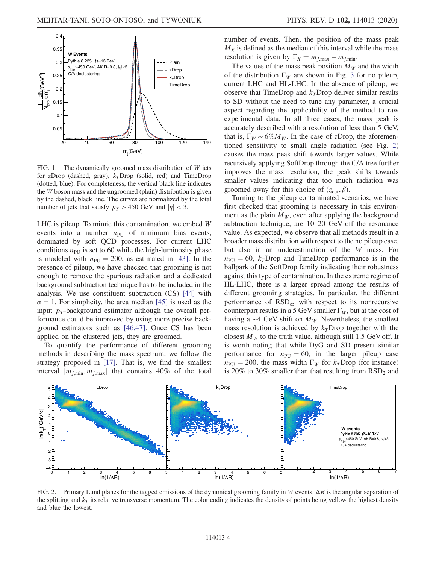<span id="page-3-0"></span>

FIG. 1. The dynamically groomed mass distribution of W jets for zDrop (dashed, gray),  $k<sub>T</sub>$ Drop (solid, red) and TimeDrop (dotted, blue). For completeness, the vertical black line indicates the W boson mass and the ungroomed (plain) distribution is given by the dashed, black line. The curves are normalized by the total number of jets that satisfy  $p_T > 450$  GeV and  $|\eta| < 3$ .

LHC is pileup. To mimic this contamination, we embed W events into a number  $n_{\text{PI}}$  of minimum bias events, dominated by soft QCD processes. For current LHC conditions  $n_{\text{PU}}$  is set to 60 while the high-luminosity phase is modeled with  $n_{\text{PU}} = 200$ , as estimated in [\[43\].](#page-9-8) In the presence of pileup, we have checked that grooming is not enough to remove the spurious radiation and a dedicated background subtraction technique has to be included in the analysis. We use constituent subtraction (CS) [\[44\]](#page-9-9) with  $\alpha = 1$ . For simplicity, the area median [\[45\]](#page-9-10) is used as the input  $p_T$ -background estimator although the overall performance could be improved by using more precise background estimators such as [\[46,47\]](#page-9-11). Once CS has been applied on the clustered jets, they are groomed.

To quantify the performance of different grooming methods in describing the mass spectrum, we follow the strategy proposed in [\[17\]](#page-8-11). That is, we find the smallest interval  $[m_{j,\text{min}}, m_{j,\text{max}}]$  that contains 40% of the total number of events. Then, the position of the mass peak  $M_X$  is defined as the median of this interval while the mass resolution is given by  $\Gamma_X = m_{j,\text{max}} - m_{j,\text{min}}$ .

The values of the mass peak position  $M_W$  and the width of the distribution  $\Gamma_W$  are shown in Fig. [3](#page-4-1) for no pileup, current LHC and HL-LHC. In the absence of pileup, we observe that TimeDrop and  $k<sub>T</sub>$ Drop deliver similar results to SD without the need to tune any parameter, a crucial aspect regarding the applicability of the method to raw experimental data. In all three cases, the mass peak is accurately described with a resolution of less than 5 GeV, that is,  $\Gamma_W \sim 6\% M_W$ . In the case of zDrop, the aforementioned sensitivity to small angle radiation (see Fig. [2\)](#page-3-1) causes the mass peak shift towards larger values. While recursively applying SoftDrop through the C/A tree further improves the mass resolution, the peak shifts towards smaller values indicating that too much radiation was groomed away for this choice of  $(z<sub>cut</sub>, \beta)$ .

Turning to the pileup contaminated scenarios, we have first checked that grooming is necessary in this environment as the plain  $M_W$ , even after applying the background subtraction technique, are 10–20 GeV off the resonance value. As expected, we observe that all methods result in a broader mass distribution with respect to the no pileup case, but also in an underestimation of the W mass. For  $n_{\text{PU}} = 60$ ,  $k_{\text{T}}$ Drop and TimeDrop performance is in the ballpark of the SoftDrop family indicating their robustness against this type of contamination. In the extreme regime of HL-LHC, there is a larger spread among the results of different grooming strategies. In particular, the different performance of  $RSD_{\infty}$  with respect to its nonrecursive counterpart results in a 5 GeV smaller  $\Gamma_W$ , but at the cost of having a ∼4 GeV shift on  $M_W$ . Nevertheless, the smallest mass resolution is achieved by  $k<sub>T</sub>$ Drop together with the closest  $M_W$  to the truth value, although still 1.5 GeV off. It is worth noting that while DyG and SD present similar performance for  $n_{\text{PU}} = 60$ , in the larger pileup case  $n_{\text{PU}} = 200$ , the mass width  $\Gamma_W$  for  $k_T$ Drop (for instance) is 20% to 30% smaller than that resulting from  $RSD<sub>2</sub>$  and

<span id="page-3-1"></span>

FIG. 2. Primary Lund planes for the tagged emissions of the dynamical grooming family in W events.  $\Delta R$  is the angular separation of the splitting and  $k<sub>T</sub>$  its relative transverse momentum. The color coding indicates the density of points being yellow the highest density and blue the lowest.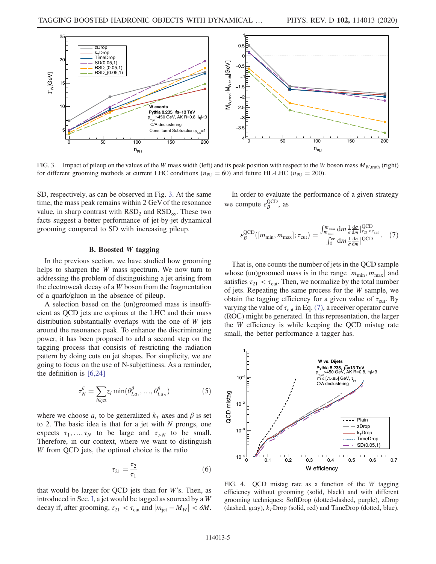<span id="page-4-1"></span>

FIG. 3. Impact of pileup on the values of the W mass width (left) and its peak position with respect to the W boson mass  $M_{W,\text{truth}}$  (right) for different grooming methods at current LHC conditions ( $n_{\text{PU}} = 60$ ) and future HL-LHC ( $n_{\text{PU}} = 200$ ).

SD, respectively, as can be observed in Fig. [3.](#page-4-1) At the same time, the mass peak remains within 2 GeV of the resonance value, in sharp contrast with  $RSD<sub>2</sub>$  and  $RSD<sub>∞</sub>$ . These two facts suggest a better performance of jet-by-jet dynamical grooming compared to SD with increasing pileup.

# B. Boosted W tagging

<span id="page-4-0"></span>In the previous section, we have studied how grooming helps to sharpen the W mass spectrum. We now turn to addressing the problem of distinguishing a jet arising from the electroweak decay of a W boson from the fragmentation of a quark/gluon in the absence of pileup.

A selection based on the (un)groomed mass is insufficient as QCD jets are copious at the LHC and their mass distribution substantially overlaps with the one of W jets around the resonance peak. To enhance the discriminating power, it has been proposed to add a second step on the tagging process that consists of restricting the radiation pattern by doing cuts on jet shapes. For simplicity, we are going to focus on the use of N-subjettiness. As a reminder, the definition is [\[6,24\]](#page-8-7)

$$
\tau_N^{\beta} = \sum_{i \in \text{jet}} z_i \min(\theta_{i,a_1}^{\beta}, \dots, \theta_{i,a_N}^{\beta})
$$
(5)

where we choose  $a_i$  to be generalized  $k_T$  axes and  $\beta$  is set to 2. The basic idea is that for a jet with  $N$  prongs, one expects  $\tau_1, \ldots, \tau_N$  to be large and  $\tau_{>N}$  to be small. Therefore, in our context, where we want to distinguish W from QCD jets, the optimal choice is the ratio

$$
\tau_{21} = \frac{\tau_2}{\tau_1} \tag{6}
$$

that would be larger for OCD jets than for  $W$ 's. Then, as introduced in Sec. [I](#page-0-4), a jet would be tagged as sourced by a W decay if, after grooming,  $\tau_{21} < \tau_{\text{cut}}$  and  $|m_{\text{jet}} - M_W| < \delta M$ .

<span id="page-4-2"></span>In order to evaluate the performance of a given strategy we compute  $\varepsilon_B^{\text{QCD}}$ , as

$$
\varepsilon_B^{\text{QCD}}([m_{\text{min}}, m_{\text{max}}]; \tau_{\text{cut}}) = \frac{\int_{m_{\text{min}}}^{m_{\text{max}}} dm \frac{1}{\sigma} \frac{d\sigma}{dm} \Big|_{\tau_{21} < \tau_{\text{cut}}}{\tau_{21}^{(\text{CCD})}}}{\int_{0}^{\infty} dm \frac{1}{\sigma} \frac{d\sigma}{dm} \Big|_{\text{QCD}}}.
$$
 (7)

That is, one counts the number of jets in the QCD sample whose (un)groomed mass is in the range  $[m_{\min}, m_{\max}]$  and satisfies  $\tau_{21} < \tau_{\text{cut}}$ . Then, we normalize by the total number of jets. Repeating the same process for the W sample, we obtain the tagging efficiency for a given value of  $\tau_{\text{cut}}$ . By varying the value of  $\tau_{\text{cut}}$  in Eq. [\(7\),](#page-4-2) a receiver operator curve (ROC) might be generated. In this representation, the larger the W efficiency is while keeping the QCD mistag rate small, the better performance a tagger has.

<span id="page-4-3"></span>

FIG. 4. QCD mistag rate as a function of the W tagging efficiency without grooming (solid, black) and with different grooming techniques: SoftDrop (dotted-dashed, purple), zDrop (dashed, gray),  $k<sub>T</sub>$ Drop (solid, red) and TimeDrop (dotted, blue).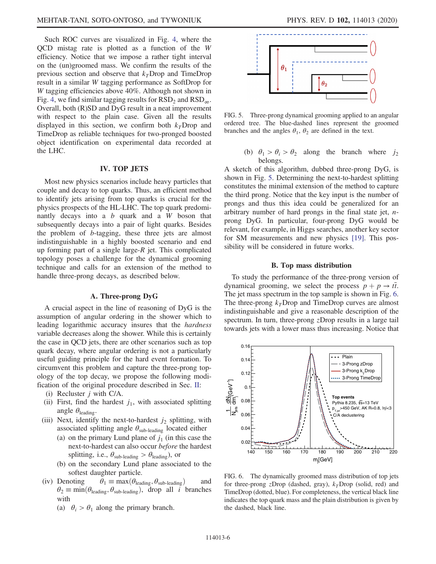Such ROC curves are visualized in Fig. [4](#page-4-3), where the QCD mistag rate is plotted as a function of the W efficiency. Notice that we impose a rather tight interval on the (un)groomed mass. We confirm the results of the previous section and observe that  $k<sub>T</sub>$ Drop and TimeDrop result in a similar W tagging performance as SoftDrop for W tagging efficiencies above 40%. Although not shown in Fig. [4](#page-4-3), we find similar tagging results for  $RSD_2$  and  $RSD_{\infty}$ . Overall, both (R)SD and DyG result in a neat improvement with respect to the plain case. Given all the results displayed in this section, we confirm both  $k<sub>T</sub>$ Drop and TimeDrop as reliable techniques for two-pronged boosted object identification on experimental data recorded at the LHC.

# IV. TOP JETS

<span id="page-5-0"></span>Most new physics scenarios include heavy particles that couple and decay to top quarks. Thus, an efficient method to identify jets arising from top quarks is crucial for the physics prospects of the HL-LHC. The top quark predominantly decays into a  $b$  quark and a  $W$  boson that subsequently decays into a pair of light quarks. Besides the problem of b-tagging, these three jets are almost indistinguishable in a highly boosted scenario and end up forming part of a single large- $R$  jet. This complicated topology poses a challenge for the dynamical grooming technique and calls for an extension of the method to handle three-prong decays, as described below.

#### A. Three-prong DyG

<span id="page-5-1"></span>A crucial aspect in the line of reasoning of DyG is the assumption of angular ordering in the shower which to leading logarithmic accuracy insures that the hardness variable decreases along the shower. While this is certainly the case in QCD jets, there are other scenarios such as top quark decay, where angular ordering is not a particularly useful guiding principle for the hard event formation. To circumvent this problem and capture the three-prong topology of the top decay, we propose the following modification of the original procedure described in Sec. [II:](#page-1-0)

- (i) Recluster  $j$  with C/A.
- (ii) First, find the hardest  $j_1$ , with associated splitting angle  $\theta_{\text{leading}}$ .
- (iii) Next, identify the next-to-hardest  $j_2$  splitting, with associated splitting angle  $\theta_{\text{sub-leading}}$  located either
	- (a) on the primary Lund plane of  $j_1$  (in this case the next-to-hardest can also occur before the hardest splitting, i.e.,  $\theta_{\text{sub-leading}} > \theta_{\text{leading}}$ , or
	- (b) on the secondary Lund plane associated to the softest daughter particle.
- (iv) Denoting  $\theta_1 \equiv \max(\theta_{\text{leading}}, \theta_{\text{sub-leading}})$  and  $\theta_2 \equiv \min(\theta_{\text{leading}}, \theta_{\text{sub-leading}})$ , drop all *i* branches with
	- (a)  $\theta_i > \theta_1$  along the primary branch.

<span id="page-5-3"></span>

FIG. 5. Three-prong dynamical grooming applied to an angular ordered tree. The blue-dashed lines represent the groomed branches and the angles  $\theta_1$ ,  $\theta_2$  are defined in the text.

(b)  $\theta_1 > \theta_i > \theta_2$  along the branch where  $j_2$ belongs.

A sketch of this algorithm, dubbed three-prong DyG, is shown in Fig. [5](#page-5-3). Determining the next-to-hardest splitting constitutes the minimal extension of the method to capture the third prong. Notice that the key input is the number of prongs and thus this idea could be generalized for an arbitrary number of hard prongs in the final state jet, nprong DyG. In particular, four-prong DyG would be relevant, for example, in Higgs searches, another key sector for SM measurements and new physics [\[19\]](#page-8-15). This possibility will be considered in future works.

### B. Top mass distribution

<span id="page-5-2"></span>To study the performance of the three-prong version of dynamical grooming, we select the process  $p + p \rightarrow t\bar{t}$ . The jet mass spectrum in the top sample is shown in Fig. [6](#page-5-4). The three-prong  $k<sub>T</sub>$ Drop and TimeDrop curves are almost indistinguishable and give a reasonable description of the spectrum. In turn, three-prong zDrop results in a large tail towards jets with a lower mass thus increasing. Notice that

<span id="page-5-4"></span>

FIG. 6. The dynamically groomed mass distribution of top jets for three-prong zDrop (dashed, gray),  $k<sub>T</sub>$ Drop (solid, red) and TimeDrop (dotted, blue). For completeness, the vertical black line indicates the top quark mass and the plain distribution is given by the dashed, black line.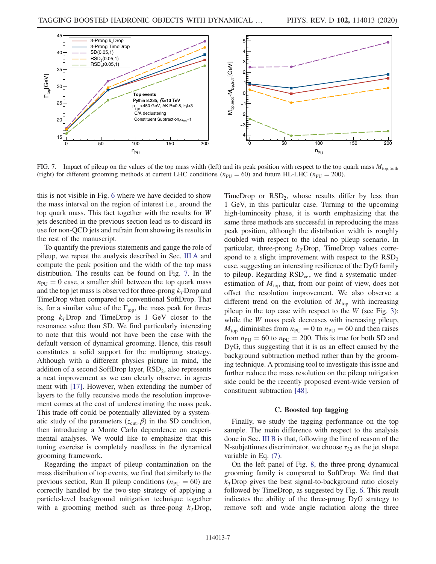<span id="page-6-1"></span>

FIG. 7. Impact of pileup on the values of the top mass width (left) and its peak position with respect to the top quark mass  $M_{\text{top,truth}}$ (right) for different grooming methods at current LHC conditions ( $n_{\text{PU}} = 60$ ) and future HL-LHC ( $n_{\text{PU}} = 200$ ).

this is not visible in Fig. [6](#page-5-4) where we have decided to show the mass interval on the region of interest i.e., around the top quark mass. This fact together with the results for W jets described in the previous section lead us to discard its use for non-QCD jets and refrain from showing its results in the rest of the manuscript.

To quantify the previous statements and gauge the role of pileup, we repeat the analysis described in Sec. [III A](#page-2-1) and compute the peak position and the width of the top mass distribution. The results can be found on Fig. [7.](#page-6-1) In the  $n_{\text{PU}} = 0$  case, a smaller shift between the top quark mass and the top jet mass is observed for three-prong  $k<sub>T</sub>$ Drop and TimeDrop when compared to conventional SoftDrop. That is, for a similar value of the  $\Gamma_{\text{top}}$ , the mass peak for threeprong  $k<sub>T</sub>$ Drop and TimeDrop is 1 GeV closer to the resonance value than SD. We find particularly interesting to note that this would not have been the case with the default version of dynamical grooming. Hence, this result constitutes a solid support for the multiprong strategy. Although with a different physics picture in mind, the addition of a second SoftDrop layer,  $RSD<sub>2</sub>$ , also represents a neat improvement as we can clearly observe, in agreement with [\[17\].](#page-8-11) However, when extending the number of layers to the fully recursive mode the resolution improvement comes at the cost of underestimating the mass peak. This trade-off could be potentially alleviated by a systematic study of the parameters ( $z<sub>cut</sub>, \beta$ ) in the SD condition, then introducing a Monte Carlo dependence on experimental analyses. We would like to emphasize that this tuning exercise is completely needless in the dynamical grooming framework.

Regarding the impact of pileup contamination on the mass distribution of top events, we find that similarly to the previous section, Run II pileup conditions ( $n_{\text{PU}} = 60$ ) are correctly handled by the two-step strategy of applying a particle-level background mitigation technique together with a grooming method such as three-pong  $k<sub>T</sub>$ Drop, TimeDrop or  $RSD<sub>2</sub>$ , whose results differ by less than 1 GeV, in this particular case. Turning to the upcoming high-luminosity phase, it is worth emphasizing that the same three methods are successful in reproducing the mass peak position, although the distribution width is roughly doubled with respect to the ideal no pileup scenario. In particular, three-prong  $k<sub>T</sub>$ Drop, TimeDrop values correspond to a slight improvement with respect to the  $RSD<sub>2</sub>$ case, suggesting an interesting resilience of the DyG family to pileup. Regarding  $RSD_{\infty}$ , we find a systematic underestimation of  $M_{top}$  that, from our point of view, does not offset the resolution improvement. We also observe a different trend on the evolution of  $M_{\text{top}}$  with increasing pileup in the top case with respect to the  $W$  (see Fig. [3\)](#page-4-1): while the *W* mass peak decreases with increasing pileup,  $M_{\text{top}}$  diminishes from  $n_{\text{PU}} = 0$  to  $n_{\text{PU}} = 60$  and then raises from  $n_{\text{PU}} = 60$  to  $n_{\text{PU}} = 200$ . This is true for both SD and DyG, thus suggesting that it is as an effect caused by the background subtraction method rather than by the grooming technique. A promising tool to investigate this issue and further reduce the mass resolution on the pileup mitigation side could be the recently proposed event-wide version of constituent subtraction [\[48\]](#page-9-12).

#### C. Boosted top tagging

<span id="page-6-0"></span>Finally, we study the tagging performance on the top sample. The main difference with respect to the analysis done in Sec. [III B](#page-4-0) is that, following the line of reason of the N-subjettinnes discriminator, we choose  $\tau_{32}$  as the jet shape variable in Eq. [\(7\)](#page-4-2).

On the left panel of Fig. [8](#page-7-1), the three-prong dynamical grooming family is compared to SoftDrop. We find that  $k<sub>T</sub>$ Drop gives the best signal-to-background ratio closely followed by TimeDrop, as suggested by Fig. [6](#page-5-4). This result indicates the ability of the three-prong DyG strategy to remove soft and wide angle radiation along the three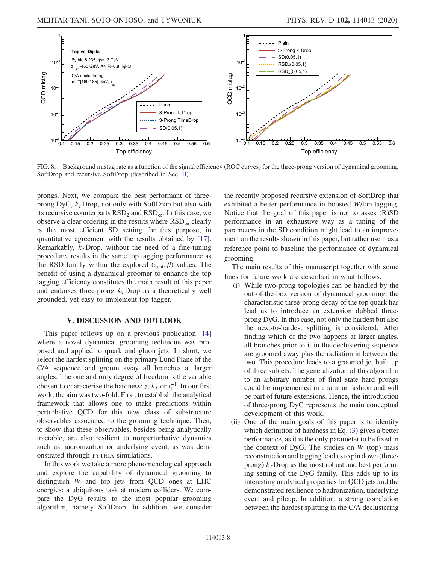<span id="page-7-1"></span>

FIG. 8. Background mistag rate as a function of the signal efficiency (ROC curves) for the three-prong version of dynamical grooming, SoftDrop and recursive SoftDrop (described in Sec. [II\)](#page-1-0).

prongs. Next, we compare the best performant of threeprong DyG,  $k<sub>T</sub>$ Drop, not only with SoftDrop but also with its recursive counterparts  $\text{RSD}_2$  and  $\text{RSD}_{\infty}$ . In this case, we observe a clear ordering in the results where  $RSD_{\infty}$  clearly is the most efficient SD setting for this purpose, in quantitative agreement with the results obtained by [\[17\]](#page-8-11). Remarkably,  $k<sub>T</sub>$ Drop, without the need of a fine-tuning procedure, results in the same top tagging performance as the RSD family within the explored  $(z<sub>cut</sub>, \beta)$  values. The benefit of using a dynamical groomer to enhance the top tagging efficiency constitutes the main result of this paper and endorses three-prong  $k<sub>T</sub>$ Drop as a theoretically well grounded, yet easy to implement top tagger.

### V. DISCUSSION AND OUTLOOK

<span id="page-7-0"></span>This paper follows up on a previous publication [\[14\]](#page-8-3) where a novel dynamical grooming technique was proposed and applied to quark and gluon jets. In short, we select the hardest splitting on the primary Lund Plane of the C/A sequence and groom away all branches at larger angles. The one and only degree of freedom is the variable chosen to characterize the hardness:  $z$ ,  $k_T$  or  $t_f^{-1}$ . In our first work, the aim was two-fold. First, to establish the analytical framework that allows one to make predictions within perturbative QCD for this new class of substructure observables associated to the grooming technique. Then, to show that these observables, besides being analytically tractable, are also resilient to nonperturbative dynamics such as hadronization or underlying event, as was demonstrated through PYTHIA simulations.

In this work we take a more phenomenological approach and explore the capability of dynamical grooming to distinguish W and top jets from QCD ones at LHC energies: a ubiquitous task at modern colliders. We compare the DyG results to the most popular grooming algorithm, namely SoftDrop. In addition, we consider the recently proposed recursive extension of SoftDrop that exhibited a better performance in boosted W/top tagging. Notice that the goal of this paper is not to asses (R)SD performance in an exhaustive way as a tuning of the parameters in the SD condition might lead to an improvement on the results shown in this paper, but rather use it as a reference point to baseline the performance of dynamical grooming.

The main results of this manuscript together with some lines for future work are described in what follows.

- (i) While two-prong topologies can be handled by the out-of-the-box version of dynamical grooming, the characteristic three-prong decay of the top quark has lead us to introduce an extension dubbed threeprong DyG. In this case, not only the hardest but also the next-to-hardest splitting is considered. After finding which of the two happens at larger angles, all branches prior to it in the declustering sequence are groomed away plus the radiation in between the two. This procedure leads to a groomed jet built up of three subjets. The generalization of this algorithm to an arbitrary number of final state hard prongs could be implemented in a similar fashion and will be part of future extensions. Hence, the introduction of three-prong DyG represents the main conceptual development of this work.
- (ii) One of the main goals of this paper is to identify which definition of hardness in Eq. [\(3\)](#page-2-0) gives a better performance, as it is the only parameter to be fixed in the context of DyG. The studies on  $W$  (top) mass reconstruction and tagging lead us to pin down (threeprong)  $k<sub>T</sub>$ Drop as the most robust and best performing setting of the DyG family. This adds up to its interesting analytical properties for QCD jets and the demonstrated resilience to hadronization, underlying event and pileup. In addition, a strong correlation between the hardest splitting in the C/A declustering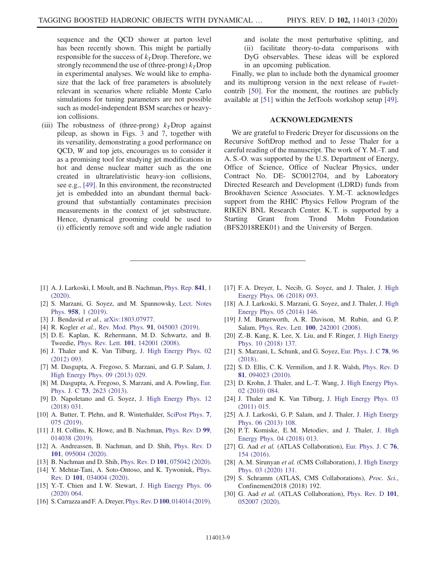sequence and the QCD shower at parton level has been recently shown. This might be partially responsible for the success of  $k<sub>T</sub>$ Drop. Therefore, we strongly recommend the use of (three-prong)  $k<sub>T</sub>$ Drop in experimental analyses. We would like to emphasize that the lack of free parameters is absolutely relevant in scenarios where reliable Monte Carlo simulations for tuning parameters are not possible such as model-independent BSM searches or heavyion collisions.

(iii) The robustness of (three-prong)  $k<sub>T</sub>$ Drop against pileup, as shown in Figs. [3](#page-4-1) and [7](#page-6-1), together with its versatility, demonstrating a good performance on QCD, W and top jets, encourages us to consider it as a promising tool for studying jet modifications in hot and dense nuclear matter such as the one created in ultrarelativistic heavy-ion collisions, see e.g., [\[49\].](#page-9-13) In this environment, the reconstructed jet is embedded into an abundant thermal background that substantially contaminates precision measurements in the context of jet substructure. Hence, dynamical grooming could be used to (i) efficiently remove soft and wide angle radiation

and isolate the most perturbative splitting, and (ii) facilitate theory-to-data comparisons with DyG observables. These ideas will be explored in an upcoming publication.

Finally, we plan to include both the dynamical groomer and its multiprong version in the next release of FastJetcontrib [\[50\].](#page-9-14) For the moment, the routines are publicly available at [\[51\]](#page-9-15) within the JetTools workshop setup [\[49\]](#page-9-13).

#### ACKNOWLEDGMENTS

We are grateful to Frederic Dreyer for discussions on the Recursive SoftDrop method and to Jesse Thaler for a careful reading of the manuscript. The work of Y. M.-T. and A. S.-O. was supported by the U.S. Department of Energy, Office of Science, Office of Nuclear Physics, under Contract No. DE- SC0012704, and by Laboratory Directed Research and Development (LDRD) funds from Brookhaven Science Associates. Y. M.-T. acknowledges support from the RHIC Physics Fellow Program of the RIKEN BNL Research Center. K. T. is supported by a Starting Grant from Trond Mohn Foundation (BFS2018REK01) and the University of Bergen.

- <span id="page-8-0"></span>[1] A. J. Larkoski, I. Moult, and B. Nachman, [Phys. Rep.](https://doi.org/10.1016/j.physrep.2019.11.001) 841, 1 [\(2020\).](https://doi.org/10.1016/j.physrep.2019.11.001)
- [2] S. Marzani, G. Soyez, and M. Spannowsky, [Lect. Notes](https://doi.org/10.1007/978-3-030-15709-8) Phys. 958[, 1 \(2019\)](https://doi.org/10.1007/978-3-030-15709-8).
- [3] J. Bendavid et al., [arXiv:1803.07977](https://arXiv.org/abs/1803.07977).
- <span id="page-8-1"></span>[4] R. Kogler et al., [Rev. Mod. Phys.](https://doi.org/10.1103/RevModPhys.91.045003) 91, 045003 (2019).
- [5] D. E. Kaplan, K. Rehermann, M. D. Schwartz, and B. Tweedie, Phys. Rev. Lett. 101[, 142001 \(2008\)](https://doi.org/10.1103/PhysRevLett.101.142001).
- <span id="page-8-7"></span>[6] J. Thaler and K. Van Tilburg, [J. High Energy Phys. 02](https://doi.org/10.1007/JHEP02(2012)093) [\(2012\) 093.](https://doi.org/10.1007/JHEP02(2012)093)
- <span id="page-8-13"></span>[7] M. Dasgupta, A. Fregoso, S. Marzani, and G. P. Salam, [J.](https://doi.org/10.1007/JHEP09(2013)029) [High Energy Phys. 09 \(2013\) 029.](https://doi.org/10.1007/JHEP09(2013)029)
- [8] M. Dasgupta, A. Fregoso, S. Marzani, and A. Powling, [Eur.](https://doi.org/10.1140/epjc/s10052-013-2623-3) Phys. J. C 73[, 2623 \(2013\).](https://doi.org/10.1140/epjc/s10052-013-2623-3)
- [9] D. Napoletano and G. Soyez, [J. High Energy Phys. 12](https://doi.org/10.1007/JHEP12(2018)031) [\(2018\) 031.](https://doi.org/10.1007/JHEP12(2018)031)
- <span id="page-8-2"></span>[10] A. Butter, T. Plehn, and R. Winterhalder, [SciPost Phys.](https://doi.org/10.21468/SciPostPhys.7.6.075) 7, [075 \(2019\)](https://doi.org/10.21468/SciPostPhys.7.6.075).
- [11] J. H. Collins, K. Howe, and B. Nachman, [Phys. Rev. D](https://doi.org/10.1103/PhysRevD.99.014038) 99, [014038 \(2019\).](https://doi.org/10.1103/PhysRevD.99.014038)
- [12] A. Andreassen, B. Nachman, and D. Shih, [Phys. Rev. D](https://doi.org/10.1103/PhysRevD.101.095004) 101[, 095004 \(2020\).](https://doi.org/10.1103/PhysRevD.101.095004)
- <span id="page-8-3"></span>[13] B. Nachman and D. Shih, Phys. Rev. D 101[, 075042 \(2020\).](https://doi.org/10.1103/PhysRevD.101.075042)
- [14] Y. Mehtar-Tani, A. Soto-Ontoso, and K. Tywoniuk, [Phys.](https://doi.org/10.1103/PhysRevD.101.034004) Rev. D 101[, 034004 \(2020\)](https://doi.org/10.1103/PhysRevD.101.034004).
- [15] Y.-T. Chien and I. W. Stewart, [J. High Energy Phys. 06](https://doi.org/10.1007/JHEP06(2020)064) [\(2020\) 064.](https://doi.org/10.1007/JHEP06(2020)064)
- [16] S. Carrazza and F. A. Dreyer, Phys. Rev. D 100[, 014014 \(2019\).](https://doi.org/10.1103/PhysRevD.100.014014)
- <span id="page-8-11"></span>[17] F. A. Dreyer, L. Necib, G. Soyez, and J. Thaler, [J. High](https://doi.org/10.1007/JHEP06(2018)093) [Energy Phys. 06 \(2018\) 093.](https://doi.org/10.1007/JHEP06(2018)093)
- <span id="page-8-12"></span>[18] A. J. Larkoski, S. Marzani, G. Soyez, and J. Thaler, [J. High](https://doi.org/10.1007/JHEP05(2014)146) [Energy Phys. 05 \(2014\) 146.](https://doi.org/10.1007/JHEP05(2014)146)
- <span id="page-8-15"></span>[19] J.M. Butterworth, A.R. Davison, M. Rubin, and G.P. Salam, Phys. Rev. Lett. 100[, 242001 \(2008\).](https://doi.org/10.1103/PhysRevLett.100.242001)
- <span id="page-8-4"></span>[20] Z.-B. Kang, K. Lee, X. Liu, and F. Ringer, [J. High Energy](https://doi.org/10.1007/JHEP10(2018)137) [Phys. 10 \(2018\) 137.](https://doi.org/10.1007/JHEP10(2018)137)
- [21] S. Marzani, L. Schunk, and G. Soyez, [Eur. Phys. J. C](https://doi.org/10.1140/epjc/s10052-018-5579-5) 78, 96 [\(2018\).](https://doi.org/10.1140/epjc/s10052-018-5579-5)
- <span id="page-8-5"></span>[22] S. D. Ellis, C. K. Vermilion, and J. R. Walsh, [Phys. Rev. D](https://doi.org/10.1103/PhysRevD.81.094023) 81[, 094023 \(2010\).](https://doi.org/10.1103/PhysRevD.81.094023)
- <span id="page-8-6"></span>[23] D. Krohn, J. Thaler, and L.-T. Wang, [J. High Energy Phys.](https://doi.org/10.1007/JHEP02(2010)084) [02 \(2010\) 084.](https://doi.org/10.1007/JHEP02(2010)084)
- [24] J. Thaler and K. Van Tilburg, [J. High Energy Phys. 03](https://doi.org/10.1007/JHEP03(2011)015) [\(2011\) 015.](https://doi.org/10.1007/JHEP03(2011)015)
- <span id="page-8-8"></span>[25] A. J. Larkoski, G. P. Salam, and J. Thaler, [J. High Energy](https://doi.org/10.1007/JHEP06(2013)108) [Phys. 06 \(2013\) 108.](https://doi.org/10.1007/JHEP06(2013)108)
- [26] P. T. Komiske, E. M. Metodiev, and J. Thaler, [J. High](https://doi.org/10.1007/JHEP04(2018)013) [Energy Phys. 04 \(2018\) 013.](https://doi.org/10.1007/JHEP04(2018)013)
- <span id="page-8-9"></span>[27] G. Aad et al. (ATLAS Collaboration), [Eur. Phys. J. C](https://doi.org/10.1140/epjc/s10052-016-3978-z) 76, [154 \(2016\)](https://doi.org/10.1140/epjc/s10052-016-3978-z).
- [28] A. M. Sirunyan et al. (CMS Collaboration), [J. High Energy](https://doi.org/10.1007/JHEP03(2020)131) [Phys. 03 \(2020\) 131.](https://doi.org/10.1007/JHEP03(2020)131)
- <span id="page-8-10"></span>[29] S. Schramm (ATLAS, CMS Collaborations), Proc. Sci., Confinement2018 (2018) 192.
- <span id="page-8-14"></span>[30] G. Aad et al. (ATLAS Collaboration), [Phys. Rev. D](https://doi.org/10.1103/PhysRevD.101.052007) 101, [052007 \(2020\).](https://doi.org/10.1103/PhysRevD.101.052007)